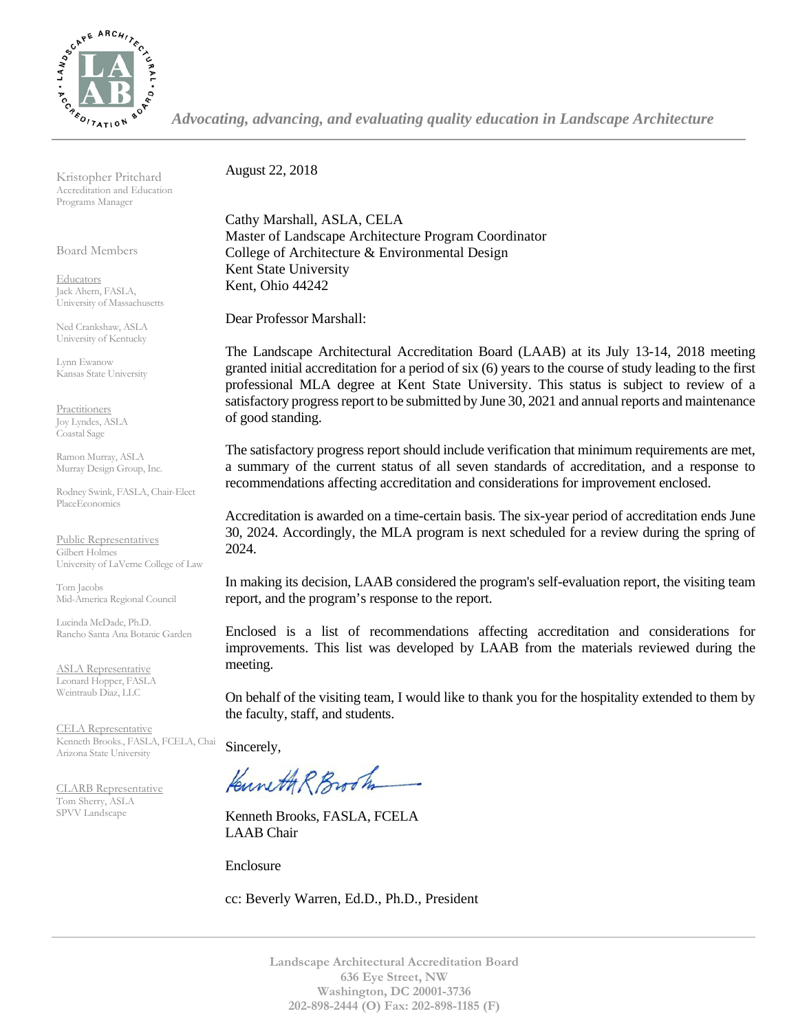

*Advocating, advancing, and evaluating quality education in Landscape Architecture*

Kristopher Pritchard Accreditation and Education Programs Manager

Board Members

**Educators** Jack Ahern, FASLA, University of Massachusetts

Ned Crankshaw, ASLA University of Kentucky

Lynn Ewanow Kansas State University

**Practitioners** Joy Lyndes, ASLA Coastal Sage

Ramon Murray, ASLA Murray Design Group, Inc.

Rodney Swink, FASLA, Chair-Elect PlaceEconomics

Public Representatives Gilbert Holmes University of LaVerne College of Law

Tom Jacobs Mid-America Regional Council

Lucinda McDade, Ph.D. Rancho Santa Ana Botanic Garden

ASLA Representative Leonard Hopper, FASLA Weintraub Diaz, LLC

CELA Representative Kenneth Brooks., FASLA, FCELA, Chair Arizona State University

CLARB Representative Tom Sherry, ASLA SPVV Landscape

August 22, 2018

Cathy Marshall, ASLA, CELA Master of Landscape Architecture Program Coordinator College of Architecture & Environmental Design Kent State University Kent, Ohio 44242

Dear Professor Marshall:

The Landscape Architectural Accreditation Board (LAAB) at its July 13-14, 2018 meeting granted initial accreditation for a period of six (6) years to the course of study leading to the first professional MLA degree at Kent State University. This status is subject to review of a satisfactory progress report to be submitted by June 30, 2021 and annual reports and maintenance of good standing.

The satisfactory progress report should include verification that minimum requirements are met, a summary of the current status of all seven standards of accreditation, and a response to recommendations affecting accreditation and considerations for improvement enclosed.

Accreditation is awarded on a time-certain basis. The six-year period of accreditation ends June 30, 2024. Accordingly, the MLA program is next scheduled for a review during the spring of 2024.

In making its decision, LAAB considered the program's self-evaluation report, the visiting team report, and the program's response to the report.

Enclosed is a list of recommendations affecting accreditation and considerations for improvements. This list was developed by LAAB from the materials reviewed during the meeting.

On behalf of the visiting team, I would like to thank you for the hospitality extended to them by the faculty, staff, and students.

Sincerely,

Kuneth R Brook

Kenneth Brooks, FASLA, FCELA LAAB Chair

Enclosure

cc: Beverly Warren, Ed.D., Ph.D., President